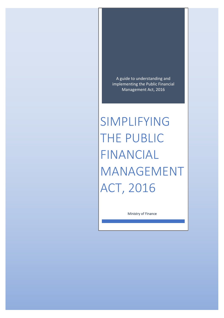A guide to understanding and implementing the Public Financial Management Act, 2016

SIMPLIFYING THE PUBLIC FINANCIAL MANAGEMENT ACT, 2016

Ministry of Finance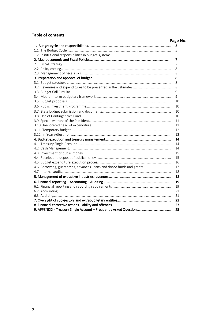### **Table of contents**

# **Page No.**

|                                                                        | 5  |  |  |
|------------------------------------------------------------------------|----|--|--|
|                                                                        | 5  |  |  |
|                                                                        |    |  |  |
|                                                                        | 7  |  |  |
|                                                                        | 7  |  |  |
|                                                                        | 8  |  |  |
|                                                                        | 8  |  |  |
|                                                                        | 8  |  |  |
|                                                                        | 8  |  |  |
|                                                                        | 8  |  |  |
|                                                                        | 9  |  |  |
|                                                                        | 9  |  |  |
|                                                                        | 10 |  |  |
|                                                                        | 10 |  |  |
|                                                                        | 10 |  |  |
|                                                                        | 10 |  |  |
|                                                                        | 11 |  |  |
|                                                                        | 11 |  |  |
|                                                                        | 12 |  |  |
|                                                                        | 12 |  |  |
|                                                                        | 14 |  |  |
|                                                                        | 14 |  |  |
|                                                                        | 14 |  |  |
|                                                                        | 15 |  |  |
|                                                                        |    |  |  |
|                                                                        | 16 |  |  |
| 4.6. Borrowing, guarantees, advances, loans and donor funds and grants | 17 |  |  |
|                                                                        | 18 |  |  |
|                                                                        | 18 |  |  |
|                                                                        | 19 |  |  |
|                                                                        | 19 |  |  |
|                                                                        | 21 |  |  |
|                                                                        |    |  |  |
|                                                                        |    |  |  |
|                                                                        |    |  |  |
|                                                                        | 25 |  |  |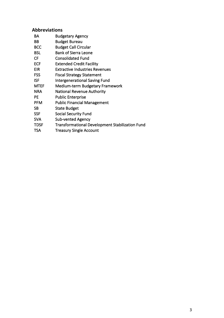# **Abbreviations**

| BA          | <b>Budgetary Agency</b>                                |
|-------------|--------------------------------------------------------|
| BB          | <b>Budget Bureau</b>                                   |
| <b>BCC</b>  | <b>Budget Call Circular</b>                            |
| <b>BSL</b>  | <b>Bank of Sierra Leone</b>                            |
| <b>CF</b>   | <b>Consolidated Fund</b>                               |
| <b>ECF</b>  | <b>Extended Credit Facility</b>                        |
| <b>EIR</b>  | Extractive Industries Revenues                         |
| <b>FSS</b>  | <b>Fiscal Strategy Statement</b>                       |
| <b>ISF</b>  | <b>Intergenerational Saving Fund</b>                   |
| <b>MTEF</b> | <b>Medium-term Budgetary Framework</b>                 |
| <b>NRA</b>  | <b>National Revenue Authority</b>                      |
| <b>PE</b>   | <b>Public Enterprise</b>                               |
| <b>PFM</b>  | <b>Public Financial Management</b>                     |
| <b>SB</b>   | <b>State Budget</b>                                    |
| <b>SSF</b>  | <b>Social Security Fund</b>                            |
| <b>SVA</b>  | <b>Sub-vented Agency</b>                               |
| <b>TDSF</b> | <b>Transformational Development Stabilization Fund</b> |
| <b>TSA</b>  | <b>Treasury Single Account</b>                         |
|             |                                                        |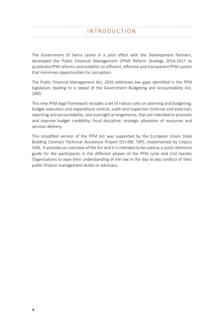The Government of Sierra Leone in a joint effort with the Development Partners, developed the Public Financial Management (PFM) Reform Strategy 2014-2017 to accelerate PFM reforms and establish an efficient, effective and transparent PFM system that minimises opportunities for corruption.

The Public Financial Management Act, 2016 addresses key gaps identified in the PFM legislation, leading to a repeal of the Government Budgeting and Accountability Act, 2005.

This new PFM legal framework includes a set of robust rules on planning and budgeting; budget execution and expenditure control; audit and inspection (internal and external); reporting and accountability; and oversight arrangements, that are intended to promote and improve budget credibility; fiscal discipline; strategic allocation of resources and services delivery.

This simplified version of the PFM Act was supported by the European Union State Building Contract Technical Assistance Project (EU-SBC TAP), implemented by Linpico SARL. It provides an overview of the Act and it is intended to be used as a quick reference guide for the participants in the different phases of the PFM cycle and Civil Society Organisations to ease their understanding of the law in the day to day conduct of their public finance management duties or advocacy.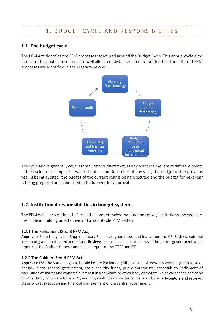# 1. BUDGET CYCLE AND RESPONSIBILITIES

# **1.1. The budget cycle**

The PFM Act identifies the PFM processes structured around the Budget Cycle. This annual cycle aims to ensure that public resources are well allocated, disbursed, and accounted for. The different PFM processes are identified in the diagram below:



The cycle above generally covers three State budgets that, at any point in time, are at different points in the cycle: for example, between October and December of any year, the budget of the previous year is being audited, the budget of the current year is being executed and the budget for next year is being prepared and submitted to Parliament for approval.

# **1.2. Institutional responsibilities in budget systems**

The PFM Act clearly defines, in Part II, the competencies and functions of key institutions and specifies their role in building an effective and accountable PFM system.

### 1.2.1 The Parliament (Sec. 3 PFM Act)

Approves: State budget, the Supplementary Estimates; guarantees and loans from the CF. Ratifies: external loans and grants contracted or received. Reviews: annual financial statements of the central government, audit reports of the Auditor-General and annual report of the TDSF and ISF.

#### 1.2.2 The Cabinet (Sec. 4 PFM Act)

Approves: FSS; the State budget to be laid before Parliament; Bills to establish new sub-vented agencies, other entities in the general government, social security funds, public enterprises; proposals to Parliament of acquisition of shares and ownership interest in a company or other body corporate which causes the company or other body corporate to be a PE; and proposals to ratify external loans and grants. Monitors and reviews: State budget execution and financial management of the central government.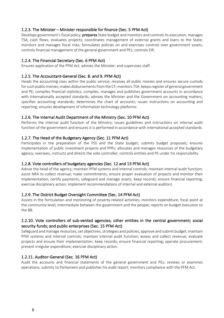#### 1.2.3. The Minister – Minister responsible for finance (Sec. 5 PFM Act)

Develops government's fiscal policy; prepares State budget and monitors and controls its execution; manages TSA, cash flows; evaluates projects; coordinates management of external grants and loans to the State; monitors and manages fiscal risks; formulates policies on and exercises controls over government assets; controls financial management of the general government and PEs; controls EIR.

#### 1.2.4. The Financial Secretary (Sec. 6 PFM Act)

Ensures application of the PFM Act; advises the Minister; and supervises staff.

#### 1.2.5. The Accountant-General (Sec. 8. and 9. PFM Act)

Heads the accounting class within the public service; receives all public monies and ensures secure custody for such public monies; makes disbursements from the CF; monitors TSA; keeps register of general government and PE; compiles financial statistics; compiles, manages and publishes government accounts in accordance with internationally accepted standards; advises the Minister and the Government on accounting matters; specifies accounting standards; determines the chart of accounts; issues instructions on accounting and reporting; ensures development of information technology platforms.

#### 1.2.6. The Internal Audit Department of the Ministry (Sec. 10 PFM Act)

Performs the internal audit function of the Ministry; issues guidelines and instructions on internal audit function of the government and ensures it is performed in accordance with international accepted standards.

#### 1.2.7. The Head of the Budgetary Agency (Sec. 11 PFM Act)

Participates in the preparation of the FSS and the State budget; submits budget proposals; ensures implementation of public investment projects and PPPs; allocates and manages resources of the budgetary agency; oversees, instructs and directs the vote controller; controls entities and PE under his responsibility.

#### 1.2.8. Vote controllers of budgetary agencies (Sec. 12 and 13 PFM Act)

Advise the head of the agency; maintain PFM systems and internal controls; maintain internal audit function; assist NRA to collect revenue; make commitments; ensure proper evaluation of projects and monitor their implementation; certify payments; safeguard and manage assets; keep records; ensure financial reporting; exercise disciplinary action; implement recommendations of internal and external auditors.

#### 1.2.9. The District Budget Oversight Committee (Sec. 14 PFM Act)

Assists in the formulation and monitoring of poverty-related activities; monitors expenditure; focal point at the community level; intermediate between the government and the people; reports on budget execution to the BB.

#### 1.2.10. Vote controllers of sub-vented agencies; other entities in the central government; social security funds; and public enterprises (Sec. 15 PFM Act)

Safeguard and manage resources; set objectives, strategies and policies; approve and submit budget; maintain PFM systems and internal controls; maintain internal audit function; assess and collect revenue; evaluate projects and ensure their implementation; keep records; ensure financial reporting; operate procurement; prevent irregular expenditure; exercise disciplinary action.

#### 1.2.11. Auditor-General (Sec. 16 PFM Act)

Audit the accounts and financial statements of the general government and PEs; reviews or examines operations; submits to Parliament and publishes his audit report; monitors compliance with the PFM Act.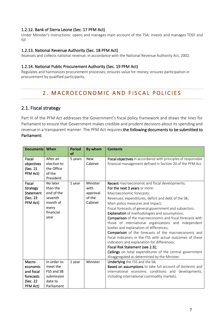#### 1.2.12. Bank of Sierra Leone (Sec. 17 PFM Act)

Under Minister's instructions: opens and manages main account of the TSA; invests and manages TDSF and ISF.

#### 1.2.13. National Revenue Authority (Sec. 18 PFM Act)

Assesses and collects national revenue, in accordance with the National Revenue Authority Act, 2002.

#### 1.2.14. National Public Procurement Authority (Sec. 19 PFM Act)

Regulates and harmonizes procurement processes; ensures value for money; ensures participation in procurement by qualified participants.

# 2. MACROECONOMIC AND FISCAL POLICIES

# 2.1. Fiscal strategy

Part III of the PFM Act addresses the Government's fiscal policy framework and draws the lines for Parliament to ensure that Government makes credible and prudent decisions about its spending and revenue in a transparent manner. The PFM Act requires the following documents to be submitted to Parliament:

| <b>Documents</b>                                                      | When                                                                                    | <b>Period</b><br><b>of</b> | By whom                                           | <b>Contents</b>                                                                                                                                                                                                                                                                                                                                                                                                                                                                                                                                                                                                                                                                                                                                                                                                    |
|-----------------------------------------------------------------------|-----------------------------------------------------------------------------------------|----------------------------|---------------------------------------------------|--------------------------------------------------------------------------------------------------------------------------------------------------------------------------------------------------------------------------------------------------------------------------------------------------------------------------------------------------------------------------------------------------------------------------------------------------------------------------------------------------------------------------------------------------------------------------------------------------------------------------------------------------------------------------------------------------------------------------------------------------------------------------------------------------------------------|
| Fiscal<br>objectives<br>(Sec. 21<br>PFM Act)                          | After an<br>election to<br>the Office<br>of the<br>President                            | 5 years                    | <b>New</b><br>Cabinet                             | Fiscal objectives in accordance with principles of responsible<br>financial management defined in Section 20 of the PFM Act.                                                                                                                                                                                                                                                                                                                                                                                                                                                                                                                                                                                                                                                                                       |
| <b>Fiscal</b><br>Strategy<br>Statement<br>(Sec. 23<br>PFM Act)        | No later<br>than the<br>end of the<br>seventh<br>month of<br>every<br>financial<br>year | 1 year                     | Minister<br>with<br>approval<br>of the<br>Cabinet | <b>Recent</b> macroeconomic and fiscal developments;<br>For the next 3 years or more:<br>Macroeconomic forecasts;<br>Revenues, expenditures, deficit and debt of the SB;<br>Main policy measures and impact;<br>Fiscal forecasts of general government and subsectors.<br><b>Explanation</b> of methodologies and assumptions;<br>Comparison of the macroeconomic and fiscal forecasts with<br>those of international organizations and independent<br>bodies and explanation of differences;<br>Comparison of the forecasts of the macroeconomic and<br>fiscal indicators in the FSS with actual outcomes of these<br>indicators and explanation for differences;<br>Fiscal Risk Statement (see 2.3);<br>Ceilings on total expenditures of the central government<br>disaggregated as determined by the Minister. |
| Macro-<br>economic<br>and fiscal<br>forecasts<br>(Sec. 22<br>PFM Act) | In order to<br>meet the<br>FSS and SB<br>submission<br>date to<br>Parliament            | 1 year                     | Minister                                          | Underlying the FSS and the SB;<br>Based on assumptions to take full account of domestic and<br>international economic conditions and developments,<br>including international commodity markets.                                                                                                                                                                                                                                                                                                                                                                                                                                                                                                                                                                                                                   |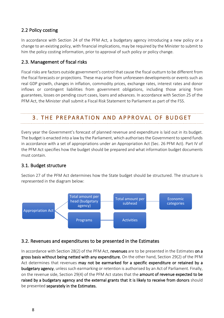# 2.2 Policy costing

In accordance with Section 24 of the PFM Act, a budgetary agency introducing a new policy or a change to an existing policy, with financial implications, may be required by the Minister to submit to him the policy costing information, prior to approval of such policy or policy change.

# 2.3. Management of fiscal risks

Fiscal risks are factors outside government's control that cause the fiscal outturn to be different from the fiscal forecasts or projections. These may arise from unforeseen developments or events such as real GDP growth, changes in inflation, commodity prices, exchange rates, interest rates and donor inflows or contingent liabilities from government obligations, including those arising from guarantees, losses on pending court cases, loans and advances. In accordance with Section 25 of the PFM Act, the Minister shall submit a Fiscal Risk Statement to Parliament as part of the FSS.

# 3. THE PREPARATION AND APPROVAL OF BUDGET

Every year the Government's forecast of planned revenue and expenditure is laid out in its budget. The budget is enacted into a law by the Parliament, which authorises the Government to spend funds in accordance with a set of appropriations under an Appropriation Act (Sec. 26 PFM Act). Part IV of the PFM Act specifies how the budget should be prepared and what information budget documents must contain.

# 3.1. Budget structure

Section 27 of the PFM Act determines how the State budget should be structured. The structure is represented in the diagram below:



# 3.2. Revenues and expenditures to be presented in the Estimates

In accordance with Section 28(2) of the PFM Act, revenues are to be presented in the Estimates on a gross basis without being netted with any expenditure. On the other hand, Section 29(2) of the PFM Act determines that revenues may not be earmarked for a specific expenditure or retained by a budgetary agency, unless such earmarking or retention is authorised by an Act of Parliament. Finally, on the revenue side, Section 29(4) of the PFM Act states that the amount of revenue expected to be raised by a budgetary agency and the external grants that it is likely to receive from donors should be presented separately in the Estimates.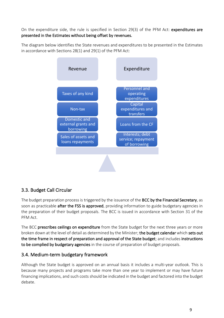On the expenditure side, the rule is specified in Section 29(3) of the PFM Act: expenditures are presented in the Estimates without being offset by revenues.

The diagram below identifies the State revenues and expenditures to be presented in the Estimates in accordance with Sections 28(1) and 29(1) of the PFM Act:



# 3.3. Budget Call Circular

The budget preparation process is triggered by the issuance of the BCC by the Financial Secretary, as soon as practicable after the FSS is approved, providing information to guide budgetary agencies in the preparation of their budget proposals. The BCC is issued in accordance with Section 31 of the PFM Act.

The BCC prescribes ceilings on expenditure from the State budget for the next three years or more broken down at the level of detail as determined by the Minister; the budget calendar which sets out the time frame in respect of preparation and approval of the State budget; and includes instructions to be complied by budgetary agencies in the course of preparation of budget proposals.

# 3.4. Medium-term budgetary framework

Although the State budget is approved on an annual basis it includes a multi-year outlook. This is because many projects and programs take more than one year to implement or may have future financing implications, and such costs should be indicated in the budget and factored into the budget debate.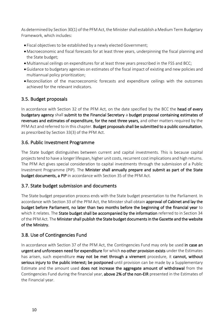As determined by Section 30(1) of the PFM Act, the Minister shall establish a Medium Term Budgetary Framework, which includes:

- Fiscal objectives to be established by a newly elected Government;
- •Macroeconomic and fiscal forecasts for at least three years, underpinning the fiscal planning and the State budget;
- •Multiannual ceilings on expenditures for at least three years prescribed in the FSS and BCC;
- •Guidance to budgetary agencies on estimates of the fiscal impact of existing and new policies and multiannual policy prioritization;
- Reconciliation of the macroeconomic forecasts and expenditure ceilings with the outcomes achieved for the relevant indicators.

# 3.5. Budget proposals

In accordance with Section 32 of the PFM Act, on the date specified by the BCC the head of every budgetary agency shall submit to the Financial Secretary a budget proposal containing estimates of revenues and estimates of expenditure, for the next three years, and other matters required by the PFM Act and referred to in this chapter. Budget proposals shall be submitted to a public consultation, as prescribed by Section 33(3) of the PFM Act.

# 3.6. Public Investment Programme

The State budget distinguishes between current and capital investments. This is because capital projects tend to have a longer lifespan, higher unit costs, recurrent cost implications and high returns. The PFM Act gives special consideration to capital investments through the submission of a Public Investment Programme (PIP). The Minister shall annually prepare and submit as part of the State budget documents, a PIP in accordance with Section 35 of the PFM Act.

# 3.7. State budget submission and documents

The State budget preparation process ends with the State budget presentation to the Parliament. In accordance with Section 33 of the PFM Act, the Minister shall obtain approval of Cabinet and lay the budget before Parliament, no later than two months before the beginning of the financial year to which it relates. The State budget shall be accompanied by the information referred to in Section 34 of the PFM Act. The Minister shall publish the State budget documents in the Gazette and the website of the Ministry.

# 3.8. Use of Contingencies Fund

In accordance with Section 37 of the PFM Act, the Contingencies Fund may only be used in case an urgent and unforeseen need for expenditure for which no other provision exists under the Estimates has arisen, such expenditure may not be met through a virement procedure, it cannot, without serious injury to the public interest; be postponed until provision can be made by a Supplementary Estimate and the amount used does not increase the aggregate amount of withdrawal from the Contingencies Fund during the financial year, above 2% of the non-EIR presented in the Estimates of the Financial year.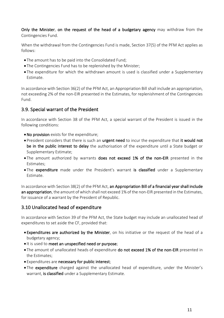Only the Minister, on the request of the head of a budgetary agency may withdraw from the Contingencies Fund.

When the withdrawal from the Contingencies Fund is made, Section 37(5) of the PFM Act applies as follows:

- The amount has to be paid into the Consolidated Fund;
- The Contingencies Fund has to be replenished by the Minister;
- The expenditure for which the withdrawn amount is used is classified under a Supplementary Estimate.

In accordance with Section 36(2) of the PFM Act, an Appropriation Bill shall include an appropriation, not exceeding 2% of the non-EIR presented in the Estimates, for replenishment of the Contingencies Fund.

# 3.9. Special warrant of the President

In accordance with Section 38 of the PFM Act, a special warrant of the President is issued in the following conditions:

- •No provision exists for the expenditure;
- President considers that there is such an urgent need to incur the expenditure that it would not be in the public interest to delay the authorisation of the expenditure until a State budget or Supplementary Estimate;
- The amount authorized by warrants does not exceed 1% of the non-EIR presented in the Estimates;
- The expenditure made under the President's warrant is classified under a Supplementary Estimate.

In accordance with Section 38(2) of the PFM Act, an Appropriation Bill of a financial year shall include an appropriation, the amount of which shall not exceed 1% of the non-EIR presented in the Estimates, for issuance of a warrant by the President of Republic.

# 3.10 Unallocated head of expenditure

In accordance with Section 39 of the PFM Act, the State budget may include an unallocated head of expenditures to set aside the CF, provided that:

- Expenditures are authorized by the Minister, on his initiative or the request of the head of a budgetary agency;
- It is used to meet an unspecified need or purpose;
- The amount of unallocated heads of expenditure do not exceed 1% of the non-EIR presented in the Estimates;
- Expenditures are necessary for public interest;
- The expenditure charged against the unallocated head of expenditure, under the Minister's warrant, is classified under a Supplementary Estimate.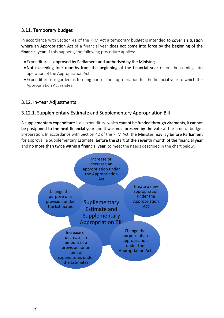# 3.11. Temporary budget

In accordance with Section 41 of the PFM Act a temporary budget is intended to cover a situation where an Appropriation Act of a financial year does not come into force by the beginning of the financial year. If this happens, the following procedure applies:

- Expenditure is approved by Parliament and authorised by the Minister;
- •Not exceeding four months from the beginning of the financial year or on the coming into operation of the Appropriation Act;
- Expenditure is regarded as forming part of the appropriation for the financial year to which the Appropriation Act relates.

# 3.12. In-Year Adjustments

# 3.12.1. Supplementary Estimate and Supplementary Appropriation Bill

A supplementary expenditure is an expenditure which cannot be funded through virements, it cannot be postponed to the next financial year and it was not foreseen by the vote at the time of budget preparation. In accordance with Section 42 of the PFM Act, the Minister may lay before Parliament for approval, a Supplementary Estimate, before the start of the seventh month of the financial year and no more than twice within a financial year, to meet the needs described in the chart below:

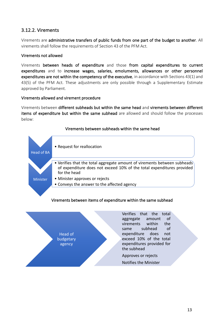# 3.12.2. Virements

Virements are administrative transfers of public funds from one part of the budget to another. All virements shall follow the requirements of Section 43 of the PFM Act.

#### Virements not allowed

Virements between heads of expenditure and those from capital expenditures to current expenditures and to increase wages, salaries, emoluments, allowances or other personnel expenditures are not within the competency of the executive, in accordance with Sections 43(1) and 43(5) of the PFM Act. These adjustments are only possible through a Supplementary Estimate approved by Parliament.

#### Virements allowed and virement procedure

Virements between different subheads but within the same head and virements between different items of expenditure but within the same subhead are allowed and should follow the processes below:



#### Virements between subheads within the same head

#### Virements between items of expenditure within the same subhead

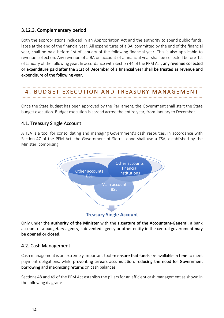# 3.12.3. Complementary period

Both the appropriations included in an Appropriation Act and the authority to spend public funds, lapse at the end of the financial year. All expenditures of a BA, committed by the end of the financial year, shall be paid before 1st of January of the following financial year. This is also applicable to revenue collection. Any revenue of a BA on account of a financial year shall be collected before 1st of January of the following year. In accordance with Section 44 of the PFM Act, any revenue collected or expenditure paid after the 31st of December of a financial year shall be treated as revenue and expenditure of the following year.

# 4. BUDGET EXECUTION AND TREASURY MANAGEM ENT

Once the State budget has been approved by the Parliament, the Government shall start the State budget execution. Budget execution is spread across the entire year, from January to December.

# 4.1. Treasury Single Account

A TSA is a tool for consolidating and managing Government's cash resources. In accordance with Section 47 of the PFM Act, the Government of Sierra Leone shall use a TSA, established by the Minister, comprising:



Only under the **authority of the Minister** with the **signature of the Accountant-General,** a bank account of a budgetary agency, sub-vented agency or other entity in the central government **may be opened or closed**.

# 4.2. Cash Management

Cash management is an extremely important tool to ensure that funds are available in time to meet payment obligations, while preventing arrears accumulation, reducing the need for Government borrowing and maximizing returns on cash balances.

Sections 48 and 49 of the PFM Act establish the pillars for an efficient cash management as shown in the following diagram: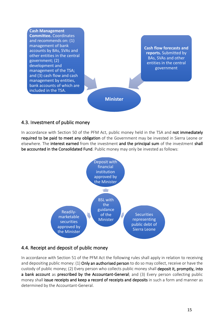

# 4.3. Investment of public money

In accordance with Section 50 of the PFM Act, public money held in the TSA and not immediately required to be paid to meet any obligation of the Government may be invested in Sierra Leone or elsewhere. The interest earned from the investment and the principal sum of the investment shall be accounted in the Consolidated Fund. Public money may only be invested as follows:



# 4.4. Receipt and deposit of public money

In accordance with Section 51 of the PFM Act the following rules shall apply in relation to receiving and depositing public money: (1) Only an authorised person to do so may collect, receive or have the custody of public money; (2) Every person who collects public money shall deposit it, promptly, into a bank account as prescribed by the Accountant-General; and (3) Every person collecting public money shall issue receipts and keep a record of receipts and deposits in such a form and manner as determined by the Accountant-General.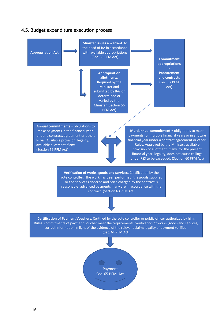#### 4.5. Budget expenditure execution process

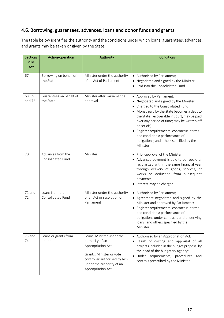# 4.6. Borrowing, guarantees, advances, loans and donor funds and grants

The table below identifies the authority and the conditions under which loans, guarantees, advances, and grants may be taken or given by the State:

| <b>Sections</b><br><b>PFM</b><br>Act | Action/operation                       | Authority                                                                                                                                                                        | <b>Conditions</b>                                                                                                                                                                                                                                                                                                                                                                                            |
|--------------------------------------|----------------------------------------|----------------------------------------------------------------------------------------------------------------------------------------------------------------------------------|--------------------------------------------------------------------------------------------------------------------------------------------------------------------------------------------------------------------------------------------------------------------------------------------------------------------------------------------------------------------------------------------------------------|
| 67                                   | Borrowing on behalf of<br>the State    | Minister under the authority<br>of an Act of Parliament                                                                                                                          | Authorised by Parliament;<br>Negotiated and signed by the Minister;<br>Paid into the Consolidated Fund.<br>$\bullet$                                                                                                                                                                                                                                                                                         |
| 68, 69<br>and 72                     | Guarantees on behalf of<br>the State   | Minister after Parliament's<br>approval                                                                                                                                          | • Approved by Parliament;<br>Negotiated and signed by the Minister;<br>Charged to the Consolidated Fund;<br>Money paid by the State becomes a debt to<br>the State: recoverable in court; may be paid<br>over any period of time; may be written off<br>or set off;<br>• Register requirements: contractual terms<br>and conditions; performance of<br>obligations; and others specified by the<br>Minister. |
| 70                                   | Advances from the<br>Consolidated Fund | Minister                                                                                                                                                                         | • Prior-approval of the Minister;<br>• Advanced payment is able to be repaid or<br>regularized within the same financial year<br>through delivery of goods, services, or<br>works or deduction from subsequent<br>payments;<br>Interest may be charged.                                                                                                                                                      |
| 71 and<br>72                         | Loans from the<br>Consolidated Fund    | Minister under the authority<br>of an Act or resolution of<br>Parliament                                                                                                         | • Authorised by Parliament;<br>• Agreement negotiated and signed by the<br>Minister and approved by Parliament;<br>• Register requirements: contractual terms<br>and conditions; performance of<br>obligations under contracts and underlying<br>loans; and others specified by the<br>Minister.                                                                                                             |
| 73 and<br>74                         | Loans or grants from<br>donors         | Loans: Minister under the<br>authority of an<br>Appropriation Act<br>Grants: Minister or vote<br>controller authorised by him,<br>under the authority of an<br>Appropriation Act | • Authorised by an Appropriation Act;<br>Result of costing and appraisal of all<br>projects included in the budget proposal by<br>the head of the budgetary agency;<br>· Under requirements, procedures<br>and<br>controls prescribed by the Minister.                                                                                                                                                       |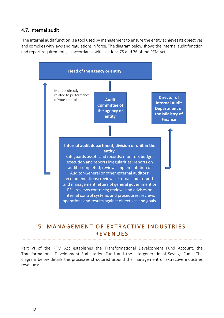# 4.7. Internal audit

The internal audit function is a tool used by management to ensure the entity achieves its objectives and complies with laws and regulations in force. The diagram below shows the internal audit function and report requirements, in accordance with sections 75 and 76 of the PFM Act:



# 5. MANAGEMENT OF EXTRACTIVE INDUSTRIES REVENUES

Part VI of the PFM Act establishes the Transformational Development Fund Account, the Transformational Development Stabilization Fund and the Intergenerational Savings Fund. The diagram below details the processes structured around the management of extractive industries revenues: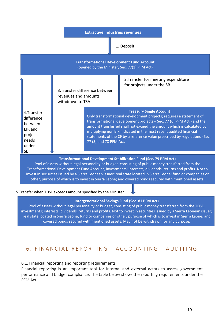

Pool of assets without legal personality or budget, consisting of public money transferred from the Transformational Development Fund Account, investments; interests, dividends, returns and profits. Not to invest in securities issued by a Sierra Leonean issuer; real state located in Sierra Leone; fund or companies or other, purpose of which is to invest in Sierra Leone; and covered bonds secured with mentioned assets.

### 5.Transfer when TDSF exceeds amount specified by the Minister

#### **Intergenerational Savings Fund (Sec. 81 PFM Act)**

Pool of assets without legal personality or budget, consisting of public money transferred from the TDSF, investments; interests, dividends, returns and profits. Not to invest in securities issued by a Sierra Leonean issuer; real state located in Sierra Leone; fund or companies or other, purpose of which is to invest in Sierra Leone; and covered bonds secured with mentioned assets. May not be withdrawn for any purpose.

# 6. FINANCIAL REPORTING - ACCOUNTING - AUDITING

### 6.1. Financial reporting and reporting requirements

Financial reporting is an important tool for internal and external actors to assess government performance and budget compliance. The table below shows the reporting requirements under the PFM Act: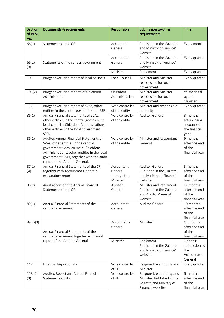| <b>Section</b><br>of PFM<br>Act | Document(s)/requirements                                                                                                                                                                                                                             | Responsible                                       | Submission to/other<br>requirements                                                                    | Time                                                              |
|---------------------------------|------------------------------------------------------------------------------------------------------------------------------------------------------------------------------------------------------------------------------------------------------|---------------------------------------------------|--------------------------------------------------------------------------------------------------------|-------------------------------------------------------------------|
| 66(1)                           | Statements of the CF                                                                                                                                                                                                                                 | Accountant-<br>General                            | Published in the Gazette<br>and Ministry of Finance'<br>website                                        | Every month                                                       |
| 66(2)<br>(3)                    | Statements of the central government                                                                                                                                                                                                                 | Accountant-<br>General                            | Published in the Gazette<br>and Ministry of Finance'<br>website                                        | Every quarter                                                     |
|                                 |                                                                                                                                                                                                                                                      | Minister                                          | Parliament                                                                                             | Every quarter                                                     |
| 103                             | Budget execution report of local councils                                                                                                                                                                                                            | Local Council                                     | Minister and Minister<br>responsible for local<br>government                                           | Every quarter                                                     |
| 105(2)                          | Budget execution reports of Chiefdom<br>Administration                                                                                                                                                                                               | Chiefdom<br>Administration                        | Minister and Minister<br>responsible for local<br>government                                           | As specified<br>by the<br>Minister                                |
| 112                             | Budget execution report of SVAs, other<br>entities in the central government or SSFs                                                                                                                                                                 | Vote controller<br>of the entity                  | Minister and responsible<br>authority                                                                  | Every quarter                                                     |
| 86(1)                           | Annual Financial Statements of SVAs;<br>other entities in the central government;<br>local councils; Chiefdom Administrations;<br>other entities in the local government;<br>SSFs.                                                                   | Vote controller<br>of the entity                  | Auditor-General                                                                                        | 3 months<br>after closing<br>accounts of<br>the financial<br>year |
| 86(2)                           | Audited Annual Financial Statements of<br>SVAs; other entities in the central<br>government; local councils; Chiefdom<br>Administrations; other entities in the local<br>government; SSFs, together with the audit<br>report of the Auditor-General. | Vote controller<br>of the entity                  | Minister and Accountant-<br>General                                                                    | 9 months<br>after the end<br>of the<br>financial year             |
| 87(1)<br>(4)                    | Annual Financial Statements of the CF,<br>together with Accountant-General's<br>explanatory report.                                                                                                                                                  | Accountant-<br>General<br>through the<br>Minister | Auditor-General<br>Published in the Gazette<br>and Ministry of Finance'<br>website                     | 3 months<br>after the end<br>of the<br>financial year             |
| 88(2)                           | Audit report on the Annual Financial<br>Statements of the CF.                                                                                                                                                                                        | Auditor-<br>General                               | Minister and Parliament<br>Published in the Gazette<br>and Auditor-General'<br>website                 | 12 months<br>after the end<br>of the<br>financial year            |
| 89(1)                           | Annual Financial Statements of the<br>central government                                                                                                                                                                                             | Accountant-<br>General                            | Auditor-General                                                                                        | 10 months<br>after the end<br>of the<br>financial year            |
| 89(2)(3)                        | Annual Financial Statements of the<br>central government together with audit                                                                                                                                                                         | Accountant-<br>General                            | Minister                                                                                               | 12 months<br>after the end<br>of the<br>financial year            |
| report of the Auditor-General   |                                                                                                                                                                                                                                                      | Minister                                          | Parliament<br>Published in the Gazette<br>and Ministry of Finance'<br>website                          | On their<br>submission by<br>the<br>Accountant-<br>General        |
| 117                             | Financial Report of PEs                                                                                                                                                                                                                              | Vote controller<br>of PE                          | Responsible authority and<br>Minister                                                                  | Every quarter                                                     |
| 118(2)<br>(3)                   | Audited Report and Annual Financial<br>Statements of PEs                                                                                                                                                                                             | Vote controller<br>of PE                          | Responsible authority and<br>Minister; Published in the<br>Gazette and Ministry of<br>Finance' website | 6 months<br>after the end<br>of the<br>financial year             |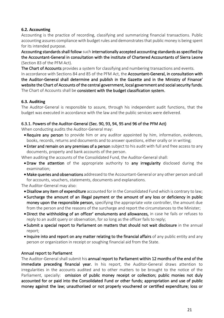#### **6.2. Accounting**

Accounting is the practice of recording, classifying and summarizing financial transactions. Public accounting assures compliance with budget rules and demonstrates that public money is being spent for its intended purpose.

Accounting standards shall follow such internationally accepted accounting standards as specified by the Accountant-General in consultation with the institute of Chartered Accountants of Sierra Leone (Section 83 of the PFM Act).

The Chart of Accounts provides a system for classifying and numbering transactions and events. In accordance with Sections 84 and 85 of the PFM Act, the Accountant-General, in consultation with the Auditor-General shall determine and publish in the Gazette and in the Ministry of Finance' website the Chart of Accounts of the central government, local government and social security funds. The Chart of Accounts shall be consistent with the budget classification system.

#### **6.3. Auditing**

The Auditor-General is responsible to assure, through his independent audit functions, that the budget was executed in accordance with the law and the public services were delivered.

#### 6.3.1. Powers of the Auditor-General (Sec. 90, 93, 94, 95 and 96 of the PFM Act)

When conducting audits the Auditor-General may:

- Require any person to provide him or any auditor appointed by him, information, evidences, books, records, returns and documents and to answer questions, either orally or in writing;
- Enter and remain on any premises of a person subject to his audit with full and free access to any documents, property and bank accounts of the person.
- When auditing the accounts of the Consolidated Fund, the Auditor-General shall:
	- •Draw the attention of the appropriate authority to any irregularity disclosed during the examination;
	- Make queries and observations addressed to the Accountant-General or any other person and call for accounts, vouchers, statements, documents and explanations.

The Auditor-General may also:

- •Disallow any item of expenditure accounted for in the Consolidated Fund which is contrary to law;
- Surcharge the amount of an illegal payment or the amount of any loss or deficiency in public money upon the responsible person, specifying the appropriate vote controller, the amount due from the person and the reasons of the surcharge and report the circumstances to the Minister;
- •Direct the withholding of an officer' emoluments and allowances, in case he fails or refuses to reply to an audit query or observation, for so long as the officer fails to reply;
- Submit a special report to Parliament on matters that should not wait disclosure in the annual report;
- Inquire into and report on any matter relating to the financial affairs of any public entity and any person or organization in receipt or soughing financial aid from the State.

#### Annual report to Parliament

The Auditor-General shall submit his annual report to Parliament within 12 months of the end of the immediate preceding financial year. In his report, the Auditor-General draws attention to irregularities in the accounts audited and to other matters to be brought to the notice of the Parliament, specially: omission of public money receipt or collection; public monies not duly accounted for or paid into the Consolidated Fund or other funds; appropriation and use of public money against the law; unauthorised or not properly vouchered or certified expenditure; loss or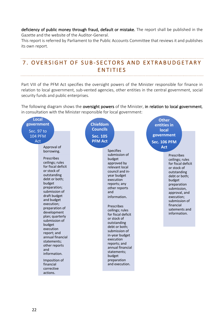deficiency of public money through fraud, default or mistake. The report shall be published in the Gazette and the website of the Auditor-General.

This report is referred by Parliament to the Public Accounts Committee that reviews it and publishes its own report.

# 7. OVERSIGHT OF SUB-SECTORS AND EXTRABUDGETARY ENTITIES

Part VIII of the PFM Act specifies the oversight powers of the Minister responsible for finance in relation to local government, sub-vented agencies, other entities in the central government, social security funds and public enterprises.

The following diagram shows the oversight powers of the Minister, in relation to local government, in consultation with the Minister responsible for local government:

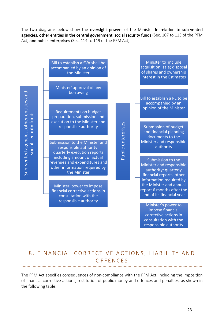The two diagrams below show the **oversight powers** of the Minister in relation to sub-vented agencies, other entities in the central government, social security funds (Sec. 107 to 113 of the PFM Act) and public enterprises (Sec. 114 to 119 of the PFM Act):



# 8. FINANCIAL CORRECTIVE ACTIONS, LIABILITY AND **OFFENCES**

The PFM Act specifies consequences of non-compliance with the PFM Act, including the imposition of financial corrective actions, restitution of public money and offences and penalties, as shown in the following table: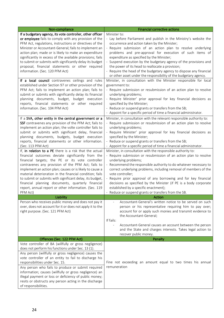| Non-compliance                                                                                                       | <b>Financial corrective actions</b>                                                                                   |
|----------------------------------------------------------------------------------------------------------------------|-----------------------------------------------------------------------------------------------------------------------|
| If a budgetary agency, its vote controller, other officer                                                            | Minister to:                                                                                                          |
| or employee fails to comply with any provision of the                                                                | - Lay before Parliament and publish in the Ministry's website the                                                     |
| PFM Act, regulations, instructions or directives of the                                                              | occurrence and action taken by the Minister;                                                                          |
| Minister or Accountant-General; fails to implement an                                                                | - Require submission of an action plan to resolve underlying                                                          |
| action plan; made or is likely to make an expenditure                                                                | problems and pre-approval for execution of such items of                                                              |
| significantly in excess of the available provisions; fails                                                           | expenditure as specified by the Minister;                                                                             |
| to submit or submits with significantly delay its budget<br>proposal, financial statements or other required         | - Suspend execution by the budgetary agency of the provisions and<br>the power of its head to reallocate a provision; |
| information. (Sec. 120 PFM Act)                                                                                      | - Require the head of the budgetary agency to dispose any financial                                                   |
|                                                                                                                      | or other asset under the responsibility of the budgetary agency.                                                      |
| If a local council contravenes ceilings and rules                                                                    | Minister, in consultation with the Minister responsible for local                                                     |
| established under Section 97 or other provision of the                                                               | government to:                                                                                                        |
| PFM Act; fails to implement an action plan; fails to                                                                 | - Require submission or resubmission of an action plan to resolve                                                     |
| submit or submits with significantly delay its financial                                                             | underlying problems;                                                                                                  |
| planning documents, budget, budget execution                                                                         | - Require Minister' prior approval for key financial decisions as                                                     |
| reports, financial statements or other required                                                                      | specified by the Minister;                                                                                            |
| information. (Sec. 104 PFM Act)                                                                                      | - Reduce or suspend grants or transfers from the SB;                                                                  |
|                                                                                                                      | - Appoint for a specific period of time a financial administrator.                                                    |
| If a SVA, other entity in the central government or a                                                                | Minister, in consultation with the relevant responsible authority to:                                                 |
| SSF contravenes any provision of the PFM Act; fails to<br>implement an action plan; the volte controller fails to    | - Require submission or resubmission of an action plan to resolve<br>underlying problems;                             |
| submit or submits with significant delay, financial                                                                  | - Require Minister' prior approval for key financial decisions as                                                     |
| planning documents, budgets, budget execution                                                                        | specified by the Minister;                                                                                            |
| reports, financial statements or other information.                                                                  | - Reduce or suspend grants or transfers from the SB;                                                                  |
| (Sec. 113 PFM Act)                                                                                                   | - Appoint for a specific period of time a financial administrator.                                                    |
| If, in relation to a PE there is a risk that the actual                                                              | Minister, in consultation with the responsible authority to:                                                          |
| financial outcomes deviate significantly from the                                                                    | - Require submission or resubmission of an action plan to resolve                                                     |
| financial targets; the PE or its vote controller                                                                     | underlying problems;                                                                                                  |
| contravenes any provision of the PFM Act; fails to                                                                   | - Recommend the responsible authority to do whatever necessary to                                                     |
| implement an action plan; causes or is likely to cause a<br>material deterioration in the financial condition; fails | correct underlying problems, including removal of members of the<br>vote controller;                                  |
| to submit or submits with significant delay, its budget,                                                             | - Require prior approval of any borrowing and for key financial                                                       |
| financial planning documents, quarterly financial                                                                    | decisions as specified by the Minister (if PE is a body corporate                                                     |
| report, annual report or other information. (Sec. 119                                                                | established by a specific enactment);                                                                                 |
| PFM Act)                                                                                                             | - Reduce or suspend grants or transfers from the SB.                                                                  |
| Liability                                                                                                            | Action                                                                                                                |
| Person who receives public money and does not pay it                                                                 | Accountant-General's written notice to be served on such                                                              |
| over, does not account for it or does not apply it to the<br>right purpose. (Sec. 121 PFM Act)                       | person or his representative requiring him to pay over;<br>account for or apply such monies and transmit evidence to  |
|                                                                                                                      | the Accountant-General;                                                                                               |
|                                                                                                                      | If fails:                                                                                                             |
|                                                                                                                      | Accountant-General causes an account between the person                                                               |
|                                                                                                                      | and the State and charges interests. Takes legal action to                                                            |
|                                                                                                                      | recover public money.                                                                                                 |
| Offences (Sec. 122 PFM Act)                                                                                          | Penalty                                                                                                               |
| Vote controller of BA (willfully or gross negligence)                                                                |                                                                                                                       |
| does not perform his functions under Sec. 13 (1).                                                                    |                                                                                                                       |
| Any person (willfully or gross negligence) causes the<br>vote controller of an entity to fail to discharge his       |                                                                                                                       |
| responsibilities under Sec. 15.                                                                                      | Fine not exceeding an amount equal to two times his annual                                                            |
| Any person who fails to produce or submit required                                                                   | remuneration                                                                                                          |
| information; causes (willfully or gross negligence) an                                                               |                                                                                                                       |
| illegal payment or loss or deficiency of public money;                                                               |                                                                                                                       |
| resits or obstructs any person acting in the discharge                                                               |                                                                                                                       |
| of responsibilities.                                                                                                 |                                                                                                                       |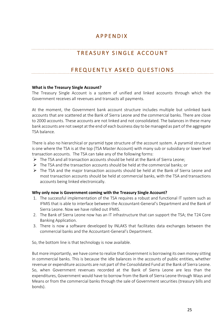# APPENDIX

# TREASURY SINGLE ACCOUNT

# FREQUENTLY ASKED QUESTIONS

#### **What is the Treasury Single Account?**

The Treasury Single Account is a system of unified and linked accounts through which the Government receives all revenues and transacts all payments.

At the moment, the Government bank account structure includes multiple but unlinked bank accounts that are scattered at the Bank of Sierra Leone and the commercial banks. There are close to 2000 accounts. These accounts are not linked and not consolidated. The balances in these many bank accounts are not swept at the end of each business day to be managed as part of the aggregate TSA balance.

There is also no hierarchical or pyramid type structure of the account system. A pyramid structure is one where the TSA is at the top (TSA Master Account) with many sub or subsidiary or lower level transaction accounts. The TSA can take any of the following forms:

- $\triangleright$  The TSA and all transaction accounts should be held at the Bank of Sierra Leone;
- $\triangleright$  The TSA and the transaction accounts should be held at the commercial banks; or
- $\triangleright$  The TSA and the major transaction accounts should be held at the Bank of Sierra Leone and most transaction accounts should be held at commercial banks, with the TSA and transactions accounts being linked electronically.

#### **Why only now is Government coming with the Treasury Single Account?**

- 1. The successful implementation of the TSA requires a robust and functional IT system such as IFMIS that is able to interface between the Accountant-General's Department and the Bank of Sierra Leone. Now we have rolled out IFMIS.
- 2. The Bank of Sierra Leone now has an IT infrastructure that can support the TSA; the T24 Core Banking Application.
- 3. There is now a software developed by INLAKS that facilitates data exchanges between the commercial banks and the Accountant-General's Department.

So, the bottom line is that technology is now available.

But more importantly, we have come to realize that Government is borrowing its own money sitting in commercial banks. This is because the idle balances in the accounts of public entities, whether revenue or expenditure accounts are not part of the Consolidated Fund at the Bank of Sierra Leone. So, when Government revenues recorded at the Bank of Sierra Leone are less than the expenditures, Government would have to borrow from the Bank of Sierra Leone through Ways and Means or from the commercial banks through the sale of Government securities (treasury bills and bonds).